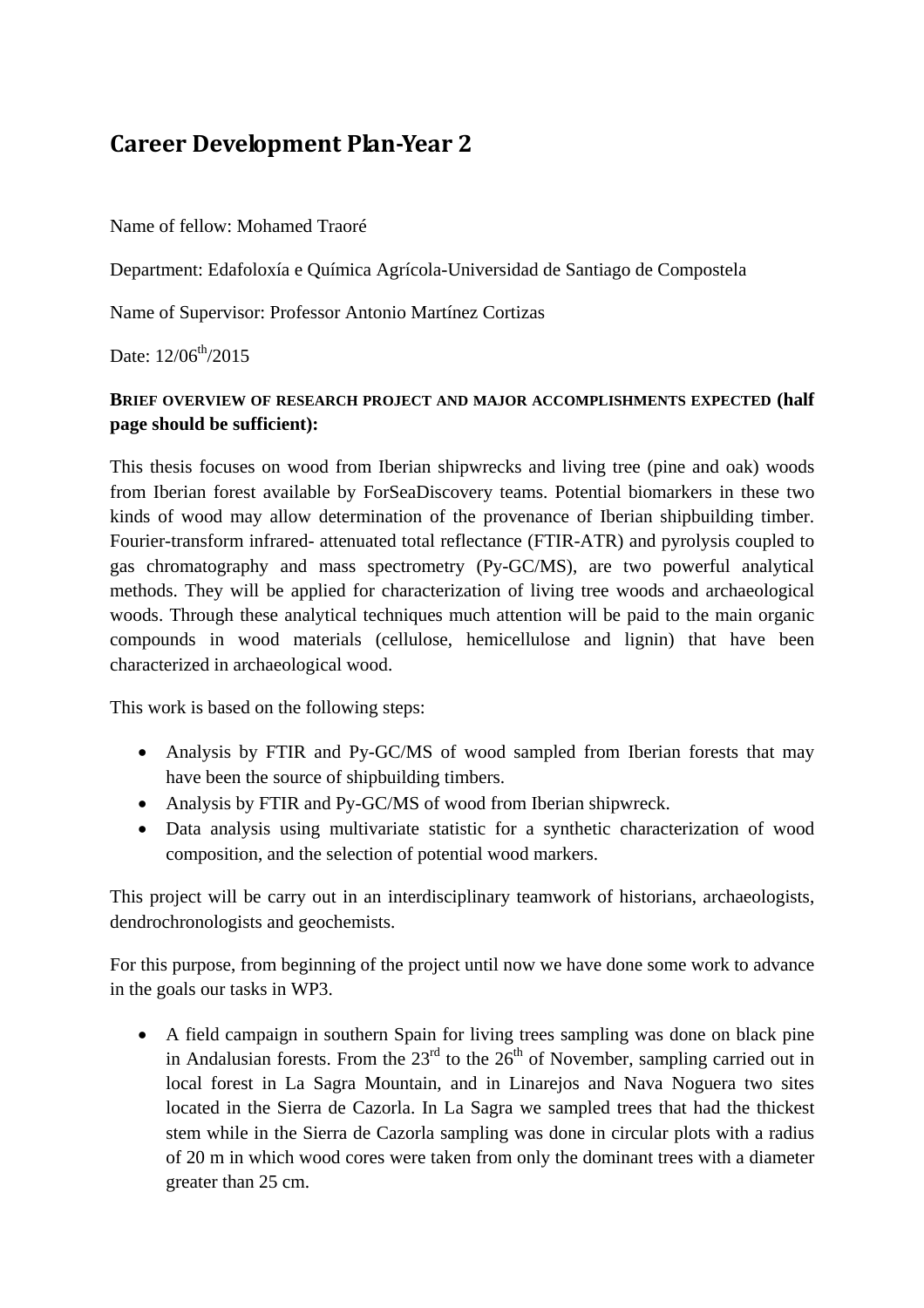## **Career Development PlanYear 2**

Name of fellow: Mohamed Traoré

Department: Edafoloxía e Química Agrícola-Universidad de Santiago de Compostela

Name of Supervisor: Professor Antonio Martínez Cortizas

Date:  $12/06^{th}/2015$ 

## **BRIEF OVERVIEW OF RESEARCH PROJECT AND MAJOR ACCOMPLISHMENTS EXPECTED (half page should be sufficient):**

This thesis focuses on wood from Iberian shipwrecks and living tree (pine and oak) woods from Iberian forest available by ForSeaDiscovery teams. Potential biomarkers in these two kinds of wood may allow determination of the provenance of Iberian shipbuilding timber. Fourier-transform infrared- attenuated total reflectance (FTIR-ATR) and pyrolysis coupled to gas chromatography and mass spectrometry (Py-GC/MS), are two powerful analytical methods. They will be applied for characterization of living tree woods and archaeological woods. Through these analytical techniques much attention will be paid to the main organic compounds in wood materials (cellulose, hemicellulose and lignin) that have been characterized in archaeological wood.

This work is based on the following steps:

- Analysis by FTIR and Py-GC/MS of wood sampled from Iberian forests that may have been the source of shipbuilding timbers.
- Analysis by FTIR and Py-GC/MS of wood from Iberian shipwreck.
- Data analysis using multivariate statistic for a synthetic characterization of wood composition, and the selection of potential wood markers.

This project will be carry out in an interdisciplinary teamwork of historians, archaeologists, dendrochronologists and geochemists.

For this purpose, from beginning of the project until now we have done some work to advance in the goals our tasks in WP3.

• A field campaign in southern Spain for living trees sampling was done on black pine in Andalusian forests. From the  $23<sup>rd</sup>$  to the  $26<sup>th</sup>$  of November, sampling carried out in local forest in La Sagra Mountain, and in Linarejos and Nava Noguera two sites located in the Sierra de Cazorla. In La Sagra we sampled trees that had the thickest stem while in the Sierra de Cazorla sampling was done in circular plots with a radius of 20 m in which wood cores were taken from only the dominant trees with a diameter greater than 25 cm.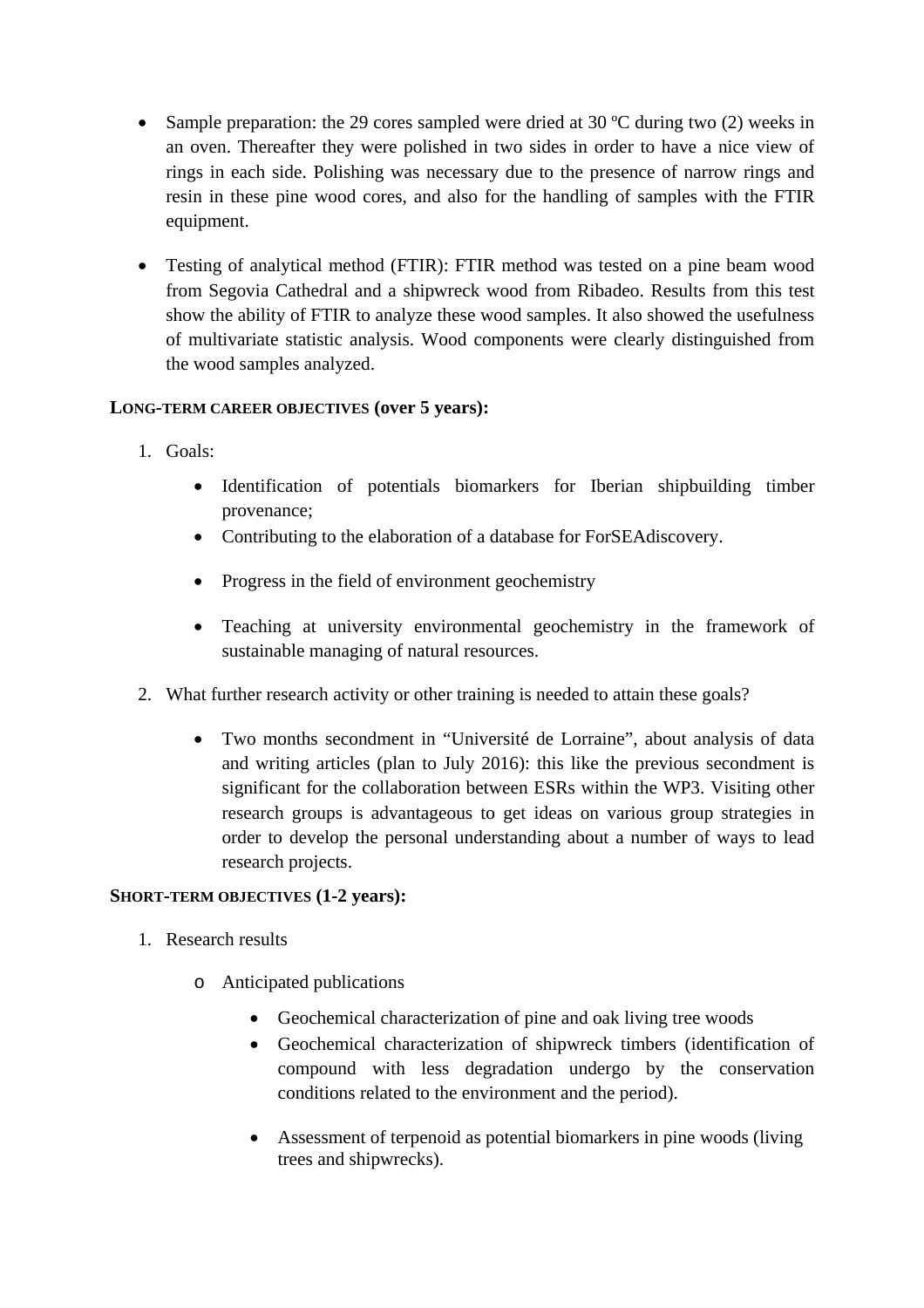- Sample preparation: the 29 cores sampled were dried at 30 °C during two (2) weeks in an oven. Thereafter they were polished in two sides in order to have a nice view of rings in each side. Polishing was necessary due to the presence of narrow rings and resin in these pine wood cores, and also for the handling of samples with the FTIR equipment.
- Testing of analytical method (FTIR): FTIR method was tested on a pine beam wood from Segovia Cathedral and a shipwreck wood from Ribadeo. Results from this test show the ability of FTIR to analyze these wood samples. It also showed the usefulness of multivariate statistic analysis. Wood components were clearly distinguished from the wood samples analyzed.

## **LONG-TERM CAREER OBJECTIVES (over 5 years):**

- 1. Goals:
	- Identification of potentials biomarkers for Iberian shipbuilding timber provenance;
	- Contributing to the elaboration of a database for ForSEAdiscovery.
	- Progress in the field of environment geochemistry
	- Teaching at university environmental geochemistry in the framework of sustainable managing of natural resources.
- 2. What further research activity or other training is needed to attain these goals?
	- Two months secondment in "Université de Lorraine", about analysis of data and writing articles (plan to July 2016): this like the previous secondment is significant for the collaboration between ESRs within the WP3. Visiting other research groups is advantageous to get ideas on various group strategies in order to develop the personal understanding about a number of ways to lead research projects.

## **SHORT-TERM OBJECTIVES (1-2 years):**

- 1. Research results
	- o Anticipated publications
		- Geochemical characterization of pine and oak living tree woods
		- Geochemical characterization of shipwreck timbers (identification of compound with less degradation undergo by the conservation conditions related to the environment and the period).
		- Assessment of terpenoid as potential biomarkers in pine woods (living trees and shipwrecks).